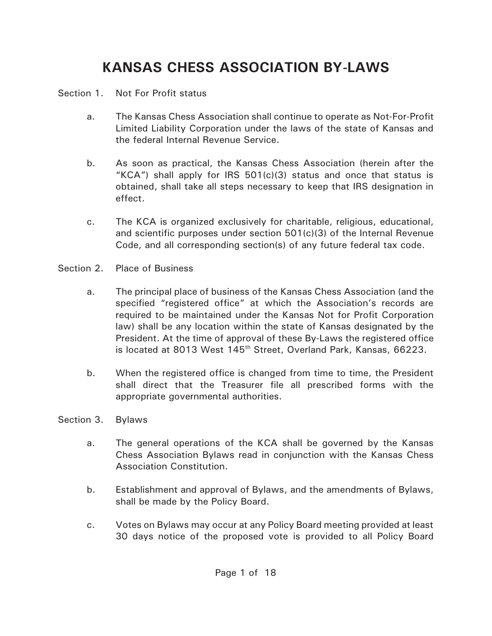# **KANSAS CHESS ASSOCIATION BY-LAWS**

### Section 1. Not For Profit status

- a. The Kansas Chess Association shall continue to operate as Not-For-Profit Limited Liability Corporation under the laws of the state of Kansas and the federal Internal Revenue Service.
- b. As soon as practical, the Kansas Chess Association (herein after the "KCA") shall apply for IRS  $501(c)(3)$  status and once that status is obtained, shall take all steps necessary to keep that IRS designation in effect.
- c. The KCA is organized exclusively for charitable, religious, educational, and scientific purposes under section 501(c)(3) of the Internal Revenue Code, and all corresponding section(s) of any future federal tax code.
- Section 2. Place of Business
	- a. The principal place of business of the Kansas Chess Association (and the specified "registered office" at which the Association's records are required to be maintained under the Kansas Not for Profit Corporation law) shall be any location within the state of Kansas designated by the President. At the time of approval of these By-Laws the registered office is located at 8013 West 145<sup>th</sup> Street, Overland Park, Kansas, 66223.
	- b. When the registered office is changed from time to time, the President shall direct that the Treasurer file all prescribed forms with the appropriate governmental authorities.
- Section 3. Bylaws
	- a. The general operations of the KCA shall be governed by the Kansas Chess Association Bylaws read in conjunction with the Kansas Chess Association Constitution.
	- b. Establishment and approval of Bylaws, and the amendments of Bylaws, shall be made by the Policy Board.
	- c. Votes on Bylaws may occur at any Policy Board meeting provided at least 30 days notice of the proposed vote is provided to all Policy Board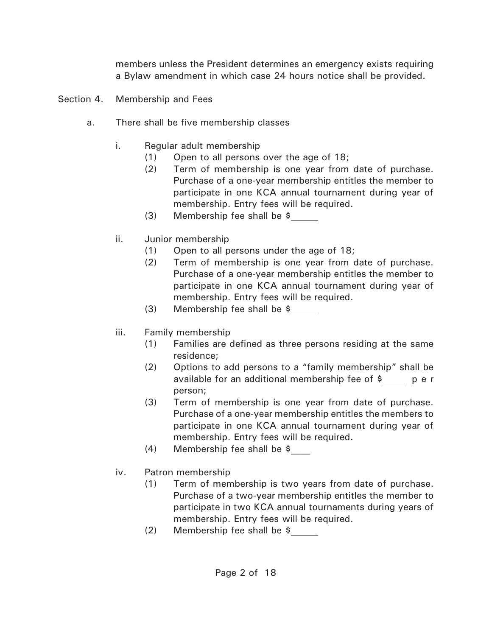members unless the President determines an emergency exists requiring a Bylaw amendment in which case 24 hours notice shall be provided.

- Section 4. Membership and Fees
	- a. There shall be five membership classes
		- i. Regular adult membership
			- (1) Open to all persons over the age of 18;
			- (2) Term of membership is one year from date of purchase. Purchase of a one-year membership entitles the member to participate in one KCA annual tournament during year of membership. Entry fees will be required.
			- (3) Membership fee shall be \$
		- ii. Junior membership
			- (1) Open to all persons under the age of 18;
			- (2) Term of membership is one year from date of purchase. Purchase of a one-year membership entitles the member to participate in one KCA annual tournament during year of membership. Entry fees will be required.
			- (3) Membership fee shall be \$
		- iii. Family membership
			- (1) Families are defined as three persons residing at the same residence;
			- (2) Options to add persons to a "family membership" shall be available for an additional membership fee of  $\sin \theta$  p e r person;
			- (3) Term of membership is one year from date of purchase. Purchase of a one-year membership entitles the members to participate in one KCA annual tournament during year of membership. Entry fees will be required.
			- (4) Membership fee shall be \$\_\_\_\_
		- iv. Patron membership
			- (1) Term of membership is two years from date of purchase. Purchase of a two-year membership entitles the member to participate in two KCA annual tournaments during years of membership. Entry fees will be required.
			- (2) Membership fee shall be \$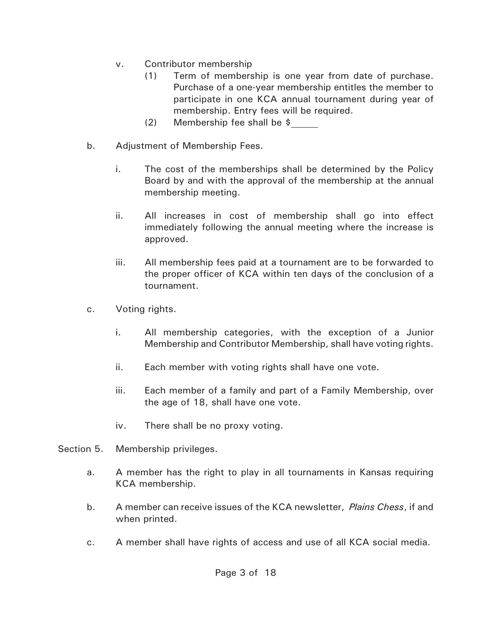- v. Contributor membership
	- (1) Term of membership is one year from date of purchase. Purchase of a one-year membership entitles the member to participate in one KCA annual tournament during year of membership. Entry fees will be required.
	- (2) Membership fee shall be \$
- b. Adjustment of Membership Fees.
	- i. The cost of the memberships shall be determined by the Policy Board by and with the approval of the membership at the annual membership meeting.
	- ii. All increases in cost of membership shall go into effect immediately following the annual meeting where the increase is approved.
	- iii. All membership fees paid at a tournament are to be forwarded to the proper officer of KCA within ten days of the conclusion of a tournament.
- c. Voting rights.
	- i. All membership categories, with the exception of a Junior Membership and Contributor Membership, shall have voting rights.
	- ii. Each member with voting rights shall have one vote.
	- iii. Each member of a family and part of a Family Membership, over the age of 18, shall have one vote.
	- iv. There shall be no proxy voting.
- Section 5. Membership privileges.
	- a. A member has the right to play in all tournaments in Kansas requiring KCA membership.
	- b. A member can receive issues of the KCA newsletter, *Plains Chess*, if and when printed.
	- c. A member shall have rights of access and use of all KCA social media.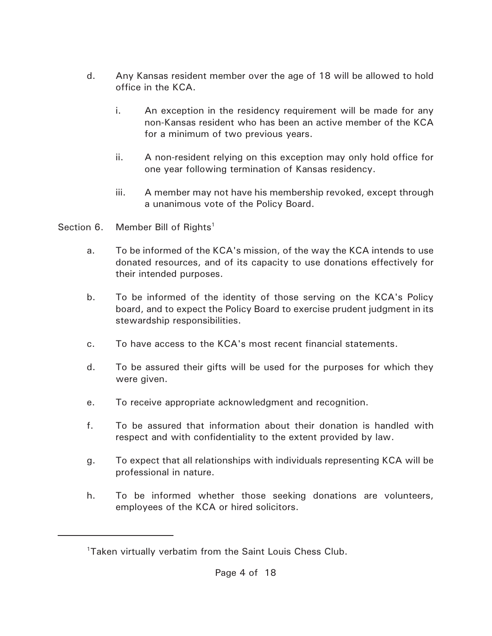- d. Any Kansas resident member over the age of 18 will be allowed to hold office in the KCA.
	- i. An exception in the residency requirement will be made for any non-Kansas resident who has been an active member of the KCA for a minimum of two previous years.
	- ii. A non-resident relying on this exception may only hold office for one year following termination of Kansas residency.
	- iii. A member may not have his membership revoked, except through a unanimous vote of the Policy Board.
- Section 6. Member Bill of  $RightS<sup>1</sup>$ 
	- a. To be informed of the KCA's mission, of the way the KCA intends to use donated resources, and of its capacity to use donations effectively for their intended purposes.
	- b. To be informed of the identity of those serving on the KCA's Policy board, and to expect the Policy Board to exercise prudent judgment in its stewardship responsibilities.
	- c. To have access to the KCA's most recent financial statements.
	- d. To be assured their gifts will be used for the purposes for which they were given.
	- e. To receive appropriate acknowledgment and recognition.
	- f. To be assured that information about their donation is handled with respect and with confidentiality to the extent provided by law.
	- g. To expect that all relationships with individuals representing KCA will be professional in nature.
	- h. To be informed whether those seeking donations are volunteers, employees of the KCA or hired solicitors.

<sup>&</sup>lt;sup>1</sup>Taken virtually verbatim from the Saint Louis Chess Club.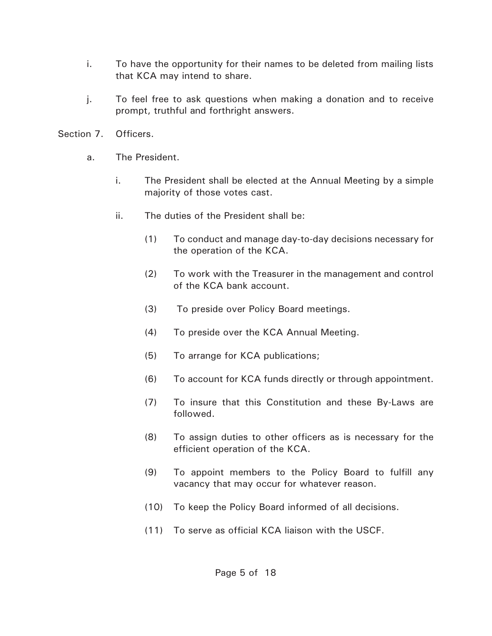- i. To have the opportunity for their names to be deleted from mailing lists that KCA may intend to share.
- j. To feel free to ask questions when making a donation and to receive prompt, truthful and forthright answers.
- Section 7. Officers.
	- a. The President.
		- i. The President shall be elected at the Annual Meeting by a simple majority of those votes cast.
		- ii. The duties of the President shall be:
			- (1) To conduct and manage day-to-day decisions necessary for the operation of the KCA.
			- (2) To work with the Treasurer in the management and control of the KCA bank account.
			- (3) To preside over Policy Board meetings.
			- (4) To preside over the KCA Annual Meeting.
			- (5) To arrange for KCA publications;
			- (6) To account for KCA funds directly or through appointment.
			- (7) To insure that this Constitution and these By-Laws are followed.
			- (8) To assign duties to other officers as is necessary for the efficient operation of the KCA.
			- (9) To appoint members to the Policy Board to fulfill any vacancy that may occur for whatever reason.
			- (10) To keep the Policy Board informed of all decisions.
			- (11) To serve as official KCA liaison with the USCF.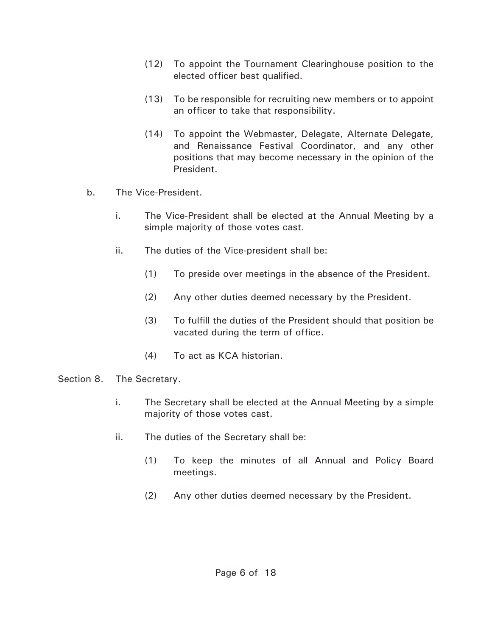- (12) To appoint the Tournament Clearinghouse position to the elected officer best qualified.
- (13) To be responsible for recruiting new members or to appoint an officer to take that responsibility.
- (14) To appoint the Webmaster, Delegate, Alternate Delegate, and Renaissance Festival Coordinator, and any other positions that may become necessary in the opinion of the President.
- b. The Vice-President.
	- i. The Vice-President shall be elected at the Annual Meeting by a simple majority of those votes cast.
	- ii. The duties of the Vice-president shall be:
		- (1) To preside over meetings in the absence of the President.
		- (2) Any other duties deemed necessary by the President.
		- (3) To fulfill the duties of the President should that position be vacated during the term of office.
		- (4) To act as KCA historian.
- Section 8. The Secretary.
	- i. The Secretary shall be elected at the Annual Meeting by a simple majority of those votes cast.
	- ii. The duties of the Secretary shall be:
		- (1) To keep the minutes of all Annual and Policy Board meetings.
		- (2) Any other duties deemed necessary by the President.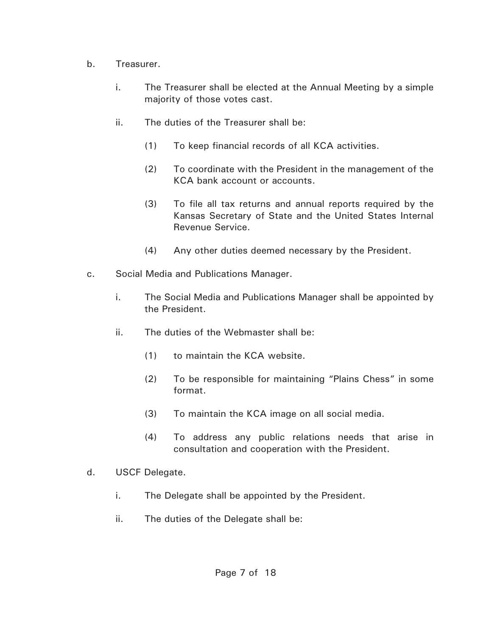- b. Treasurer.
	- i. The Treasurer shall be elected at the Annual Meeting by a simple majority of those votes cast.
	- ii. The duties of the Treasurer shall be:
		- (1) To keep financial records of all KCA activities.
		- (2) To coordinate with the President in the management of the KCA bank account or accounts.
		- (3) To file all tax returns and annual reports required by the Kansas Secretary of State and the United States Internal Revenue Service.
		- (4) Any other duties deemed necessary by the President.
- c. Social Media and Publications Manager.
	- i. The Social Media and Publications Manager shall be appointed by the President.
	- ii. The duties of the Webmaster shall be:
		- (1) to maintain the KCA website.
		- (2) To be responsible for maintaining "Plains Chess" in some format.
		- (3) To maintain the KCA image on all social media.
		- (4) To address any public relations needs that arise in consultation and cooperation with the President.
- d. USCF Delegate.
	- i. The Delegate shall be appointed by the President.
	- ii. The duties of the Delegate shall be: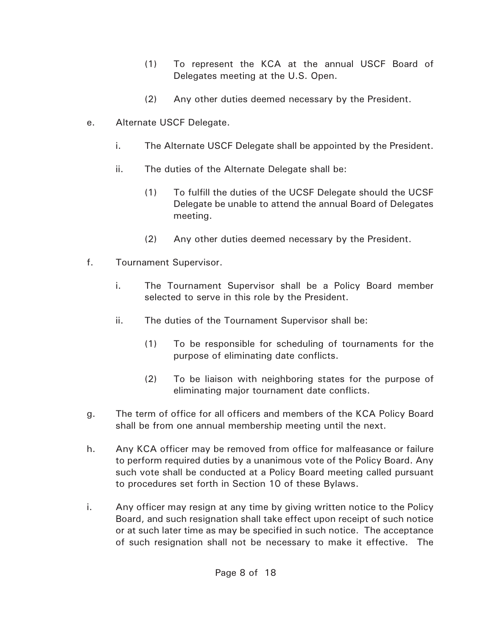- (1) To represent the KCA at the annual USCF Board of Delegates meeting at the U.S. Open.
- (2) Any other duties deemed necessary by the President.
- e. Alternate USCF Delegate.
	- i. The Alternate USCF Delegate shall be appointed by the President.
	- ii. The duties of the Alternate Delegate shall be:
		- (1) To fulfill the duties of the UCSF Delegate should the UCSF Delegate be unable to attend the annual Board of Delegates meeting.
		- (2) Any other duties deemed necessary by the President.
- f. Tournament Supervisor.
	- i. The Tournament Supervisor shall be a Policy Board member selected to serve in this role by the President.
	- ii. The duties of the Tournament Supervisor shall be:
		- (1) To be responsible for scheduling of tournaments for the purpose of eliminating date conflicts.
		- (2) To be liaison with neighboring states for the purpose of eliminating major tournament date conflicts.
- g. The term of office for all officers and members of the KCA Policy Board shall be from one annual membership meeting until the next.
- h. Any KCA officer may be removed from office for malfeasance or failure to perform required duties by a unanimous vote of the Policy Board. Any such vote shall be conducted at a Policy Board meeting called pursuant to procedures set forth in Section 10 of these Bylaws.
- i. Any officer may resign at any time by giving written notice to the Policy Board, and such resignation shall take effect upon receipt of such notice or at such later time as may be specified in such notice. The acceptance of such resignation shall not be necessary to make it effective. The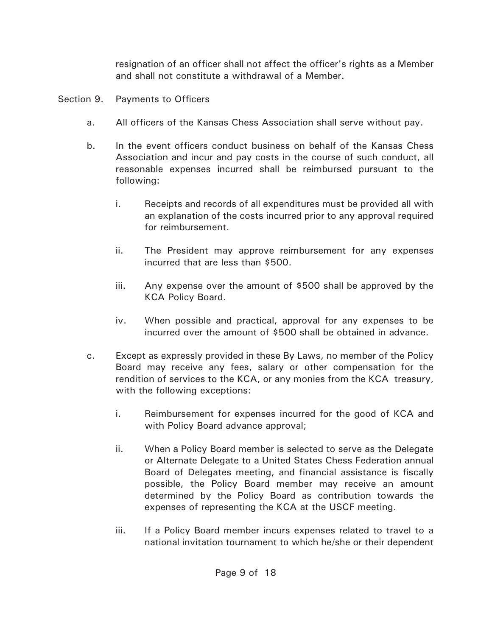resignation of an officer shall not affect the officer's rights as a Member and shall not constitute a withdrawal of a Member.

- Section 9. Payments to Officers
	- a. All officers of the Kansas Chess Association shall serve without pay.
	- b. In the event officers conduct business on behalf of the Kansas Chess Association and incur and pay costs in the course of such conduct, all reasonable expenses incurred shall be reimbursed pursuant to the following:
		- i. Receipts and records of all expenditures must be provided all with an explanation of the costs incurred prior to any approval required for reimbursement.
		- ii. The President may approve reimbursement for any expenses incurred that are less than \$500.
		- iii. Any expense over the amount of \$500 shall be approved by the KCA Policy Board.
		- iv. When possible and practical, approval for any expenses to be incurred over the amount of \$500 shall be obtained in advance.
	- c. Except as expressly provided in these By Laws, no member of the Policy Board may receive any fees, salary or other compensation for the rendition of services to the KCA, or any monies from the KCA treasury, with the following exceptions:
		- i. Reimbursement for expenses incurred for the good of KCA and with Policy Board advance approval;
		- ii. When a Policy Board member is selected to serve as the Delegate or Alternate Delegate to a United States Chess Federation annual Board of Delegates meeting, and financial assistance is fiscally possible, the Policy Board member may receive an amount determined by the Policy Board as contribution towards the expenses of representing the KCA at the USCF meeting.
		- iii. If a Policy Board member incurs expenses related to travel to a national invitation tournament to which he/she or their dependent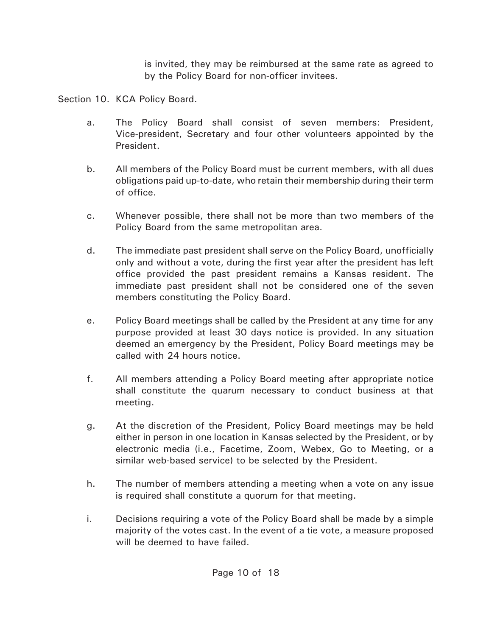is invited, they may be reimbursed at the same rate as agreed to by the Policy Board for non-officer invitees.

Section 10. KCA Policy Board.

- a. The Policy Board shall consist of seven members: President, Vice-president, Secretary and four other volunteers appointed by the President.
- b. All members of the Policy Board must be current members, with all dues obligations paid up-to-date, who retain their membership during their term of office.
- c. Whenever possible, there shall not be more than two members of the Policy Board from the same metropolitan area.
- d. The immediate past president shall serve on the Policy Board, unofficially only and without a vote, during the first year after the president has left office provided the past president remains a Kansas resident. The immediate past president shall not be considered one of the seven members constituting the Policy Board.
- e. Policy Board meetings shall be called by the President at any time for any purpose provided at least 30 days notice is provided. In any situation deemed an emergency by the President, Policy Board meetings may be called with 24 hours notice.
- f. All members attending a Policy Board meeting after appropriate notice shall constitute the quarum necessary to conduct business at that meeting.
- g. At the discretion of the President, Policy Board meetings may be held either in person in one location in Kansas selected by the President, or by electronic media (i.e., Facetime, Zoom, Webex, Go to Meeting, or a similar web-based service) to be selected by the President.
- h. The number of members attending a meeting when a vote on any issue is required shall constitute a quorum for that meeting.
- i. Decisions requiring a vote of the Policy Board shall be made by a simple majority of the votes cast. In the event of a tie vote, a measure proposed will be deemed to have failed.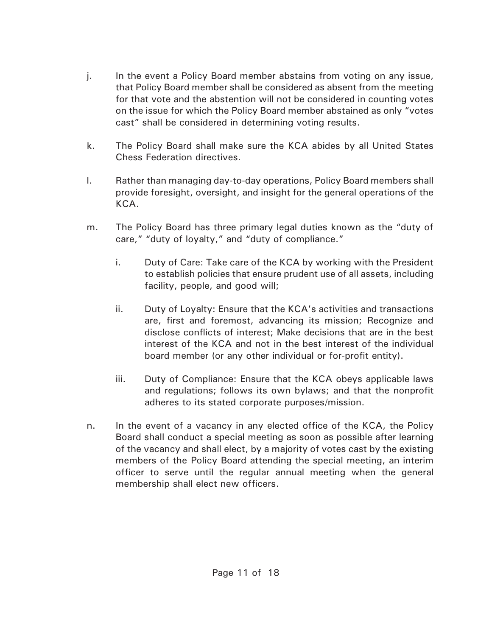- j. In the event a Policy Board member abstains from voting on any issue, that Policy Board member shall be considered as absent from the meeting for that vote and the abstention will not be considered in counting votes on the issue for which the Policy Board member abstained as only "votes cast" shall be considered in determining voting results.
- k. The Policy Board shall make sure the KCA abides by all United States Chess Federation directives.
- l. Rather than managing day-to-day operations, Policy Board members shall provide foresight, oversight, and insight for the general operations of the KCA.
- m. The Policy Board has three primary legal duties known as the "duty of care," "duty of loyalty," and "duty of compliance."
	- i. Duty of Care: Take care of the KCA by working with the President to establish policies that ensure prudent use of all assets, including facility, people, and good will;
	- ii. Duty of Loyalty: Ensure that the KCA's activities and transactions are, first and foremost, advancing its mission; Recognize and disclose conflicts of interest; Make decisions that are in the best interest of the KCA and not in the best interest of the individual board member (or any other individual or for-profit entity).
	- iii. Duty of Compliance: Ensure that the KCA obeys applicable laws and regulations; follows its own bylaws; and that the nonprofit adheres to its stated corporate purposes/mission.
- n. In the event of a vacancy in any elected office of the KCA, the Policy Board shall conduct a special meeting as soon as possible after learning of the vacancy and shall elect, by a majority of votes cast by the existing members of the Policy Board attending the special meeting, an interim officer to serve until the regular annual meeting when the general membership shall elect new officers.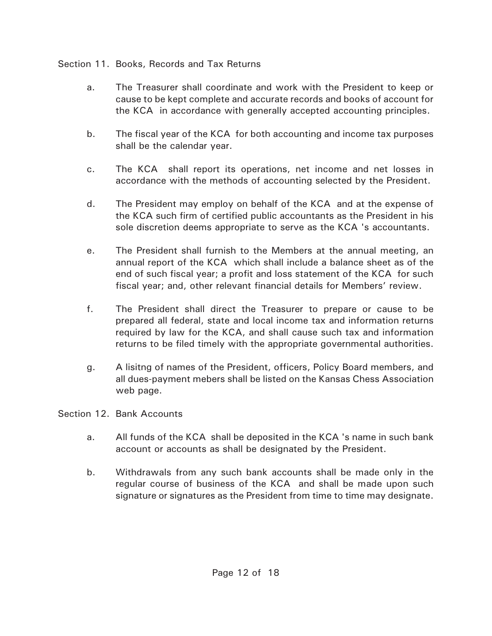## Section 11. Books, Records and Tax Returns

- a. The Treasurer shall coordinate and work with the President to keep or cause to be kept complete and accurate records and books of account for the KCA in accordance with generally accepted accounting principles.
- b. The fiscal year of the KCA for both accounting and income tax purposes shall be the calendar year.
- c. The KCA shall report its operations, net income and net losses in accordance with the methods of accounting selected by the President.
- d. The President may employ on behalf of the KCA and at the expense of the KCA such firm of certified public accountants as the President in his sole discretion deems appropriate to serve as the KCA 's accountants.
- e. The President shall furnish to the Members at the annual meeting, an annual report of the KCA which shall include a balance sheet as of the end of such fiscal year; a profit and loss statement of the KCA for such fiscal year; and, other relevant financial details for Members' review.
- f. The President shall direct the Treasurer to prepare or cause to be prepared all federal, state and local income tax and information returns required by law for the KCA, and shall cause such tax and information returns to be filed timely with the appropriate governmental authorities.
- g. A lisitng of names of the President, officers, Policy Board members, and all dues-payment mebers shall be listed on the Kansas Chess Association web page.

### Section 12. Bank Accounts

- a. All funds of the KCA shall be deposited in the KCA 's name in such bank account or accounts as shall be designated by the President.
- b. Withdrawals from any such bank accounts shall be made only in the regular course of business of the KCA and shall be made upon such signature or signatures as the President from time to time may designate.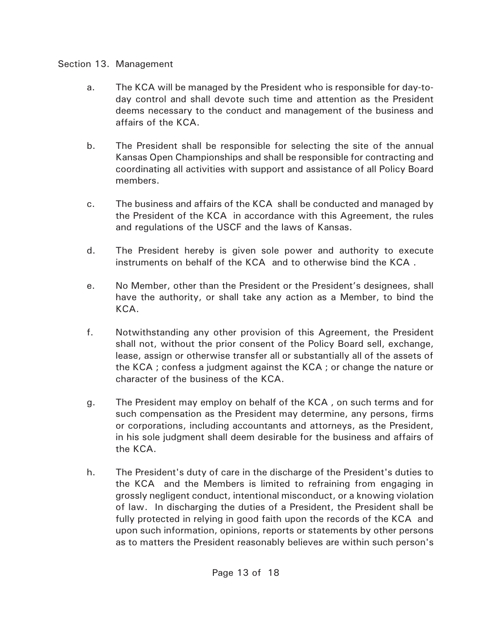### Section 13. Management

- a. The KCA will be managed by the President who is responsible for day-today control and shall devote such time and attention as the President deems necessary to the conduct and management of the business and affairs of the KCA.
- b. The President shall be responsible for selecting the site of the annual Kansas Open Championships and shall be responsible for contracting and coordinating all activities with support and assistance of all Policy Board members.
- c. The business and affairs of the KCA shall be conducted and managed by the President of the KCA in accordance with this Agreement, the rules and regulations of the USCF and the laws of Kansas.
- d. The President hereby is given sole power and authority to execute instruments on behalf of the KCA and to otherwise bind the KCA .
- e. No Member, other than the President or the President's designees, shall have the authority, or shall take any action as a Member, to bind the KCA.
- f. Notwithstanding any other provision of this Agreement, the President shall not, without the prior consent of the Policy Board sell, exchange, lease, assign or otherwise transfer all or substantially all of the assets of the KCA ; confess a judgment against the KCA ; or change the nature or character of the business of the KCA.
- g. The President may employ on behalf of the KCA , on such terms and for such compensation as the President may determine, any persons, firms or corporations, including accountants and attorneys, as the President, in his sole judgment shall deem desirable for the business and affairs of the KCA.
- h. The President's duty of care in the discharge of the President's duties to the KCA and the Members is limited to refraining from engaging in grossly negligent conduct, intentional misconduct, or a knowing violation of law. In discharging the duties of a President, the President shall be fully protected in relying in good faith upon the records of the KCA and upon such information, opinions, reports or statements by other persons as to matters the President reasonably believes are within such person's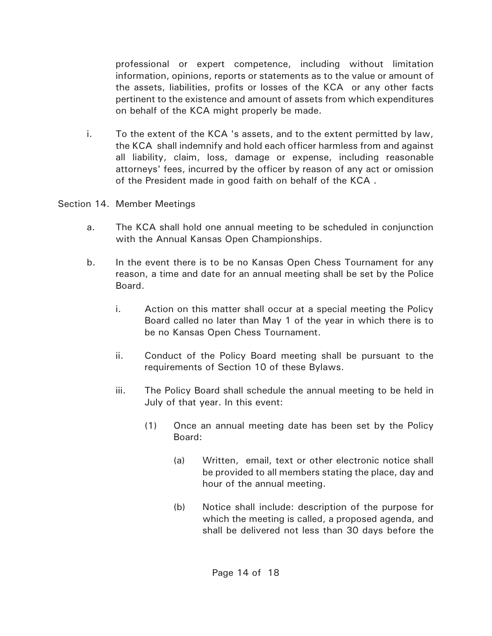professional or expert competence, including without limitation information, opinions, reports or statements as to the value or amount of the assets, liabilities, profits or losses of the KCA or any other facts pertinent to the existence and amount of assets from which expenditures on behalf of the KCA might properly be made.

i. To the extent of the KCA 's assets, and to the extent permitted by law, the KCA shall indemnify and hold each officer harmless from and against all liability, claim, loss, damage or expense, including reasonable attorneys' fees, incurred by the officer by reason of any act or omission of the President made in good faith on behalf of the KCA .

Section 14. Member Meetings

- a. The KCA shall hold one annual meeting to be scheduled in conjunction with the Annual Kansas Open Championships.
- b. In the event there is to be no Kansas Open Chess Tournament for any reason, a time and date for an annual meeting shall be set by the Police Board.
	- i. Action on this matter shall occur at a special meeting the Policy Board called no later than May 1 of the year in which there is to be no Kansas Open Chess Tournament.
	- ii. Conduct of the Policy Board meeting shall be pursuant to the requirements of Section 10 of these Bylaws.
	- iii. The Policy Board shall schedule the annual meeting to be held in July of that year. In this event:
		- (1) Once an annual meeting date has been set by the Policy Board:
			- (a) Written, email, text or other electronic notice shall be provided to all members stating the place, day and hour of the annual meeting.
			- (b) Notice shall include: description of the purpose for which the meeting is called, a proposed agenda, and shall be delivered not less than 30 days before the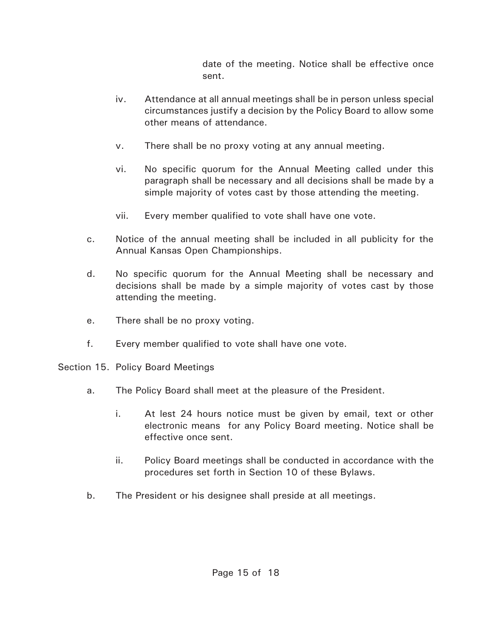date of the meeting. Notice shall be effective once sent.

- iv. Attendance at all annual meetings shall be in person unless special circumstances justify a decision by the Policy Board to allow some other means of attendance.
- v. There shall be no proxy voting at any annual meeting.
- vi. No specific quorum for the Annual Meeting called under this paragraph shall be necessary and all decisions shall be made by a simple majority of votes cast by those attending the meeting.
- vii. Every member qualified to vote shall have one vote.
- c. Notice of the annual meeting shall be included in all publicity for the Annual Kansas Open Championships.
- d. No specific quorum for the Annual Meeting shall be necessary and decisions shall be made by a simple majority of votes cast by those attending the meeting.
- e. There shall be no proxy voting.
- f. Every member qualified to vote shall have one vote.
- Section 15. Policy Board Meetings
	- a. The Policy Board shall meet at the pleasure of the President.
		- i. At lest 24 hours notice must be given by email, text or other electronic means for any Policy Board meeting. Notice shall be effective once sent.
		- ii. Policy Board meetings shall be conducted in accordance with the procedures set forth in Section 10 of these Bylaws.
	- b. The President or his designee shall preside at all meetings.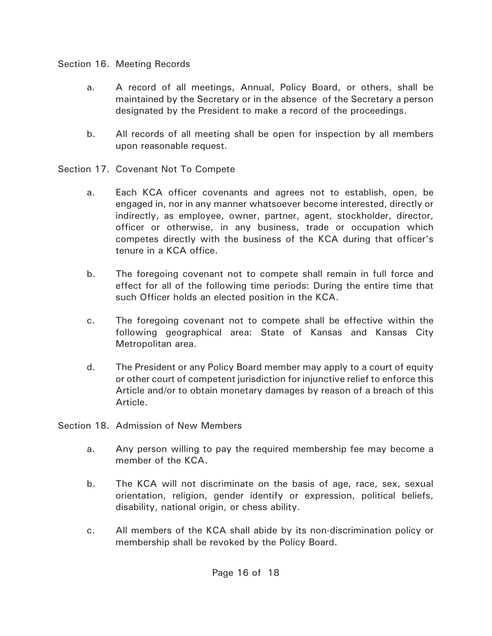### Section 16. Meeting Records

- a. A record of all meetings, Annual, Policy Board, or others, shall be maintained by the Secretary or in the absence of the Secretary a person designated by the President to make a record of the proceedings.
- b. All records of all meeting shall be open for inspection by all members upon reasonable request.
- Section 17. Covenant Not To Compete
	- a. Each KCA officer covenants and agrees not to establish, open, be engaged in, nor in any manner whatsoever become interested, directly or indirectly, as employee, owner, partner, agent, stockholder, director, officer or otherwise, in any business, trade or occupation which competes directly with the business of the KCA during that officer's tenure in a KCA office.
	- b. The foregoing covenant not to compete shall remain in full force and effect for all of the following time periods: During the entire time that such Officer holds an elected position in the KCA.
	- c. The foregoing covenant not to compete shall be effective within the following geographical area: State of Kansas and Kansas City Metropolitan area.
	- d. The President or any Policy Board member may apply to a court of equity or other court of competent jurisdiction for injunctive relief to enforce this Article and/or to obtain monetary damages by reason of a breach of this Article.
- Section 18. Admission of New Members
	- a. Any person willing to pay the required membership fee may become a member of the KCA.
	- b. The KCA will not discriminate on the basis of age, race, sex, sexual orientation, religion, gender identify or expression, political beliefs, disability, national origin, or chess ability.
	- c. All members of the KCA shall abide by its non-discrimination policy or membership shall be revoked by the Policy Board.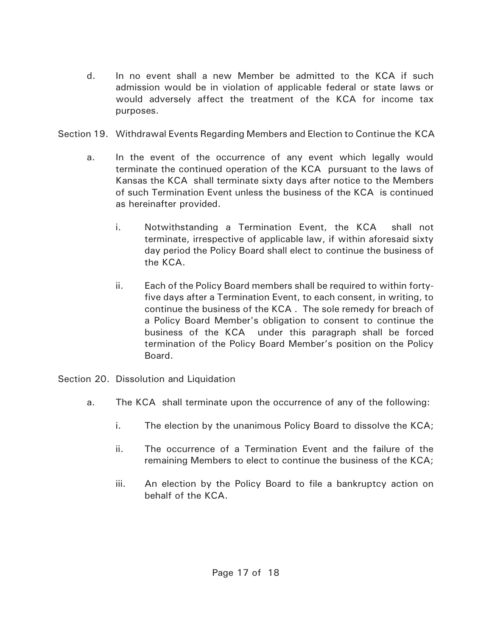- d. In no event shall a new Member be admitted to the KCA if such admission would be in violation of applicable federal or state laws or would adversely affect the treatment of the KCA for income tax purposes.
- Section 19. Withdrawal Events Regarding Members and Election to Continue the KCA
	- a. In the event of the occurrence of any event which legally would terminate the continued operation of the KCA pursuant to the laws of Kansas the KCA shall terminate sixty days after notice to the Members of such Termination Event unless the business of the KCA is continued as hereinafter provided.
		- i. Notwithstanding a Termination Event, the KCA shall not terminate, irrespective of applicable law, if within aforesaid sixty day period the Policy Board shall elect to continue the business of the KCA.
		- ii. Each of the Policy Board members shall be required to within fortyfive days after a Termination Event, to each consent, in writing, to continue the business of the KCA . The sole remedy for breach of a Policy Board Member's obligation to consent to continue the business of the KCA under this paragraph shall be forced termination of the Policy Board Member's position on the Policy Board.
- Section 20. Dissolution and Liquidation
	- a. The KCA shall terminate upon the occurrence of any of the following:
		- i. The election by the unanimous Policy Board to dissolve the KCA;
		- ii. The occurrence of a Termination Event and the failure of the remaining Members to elect to continue the business of the KCA;
		- iii. An election by the Policy Board to file a bankruptcy action on behalf of the KCA.